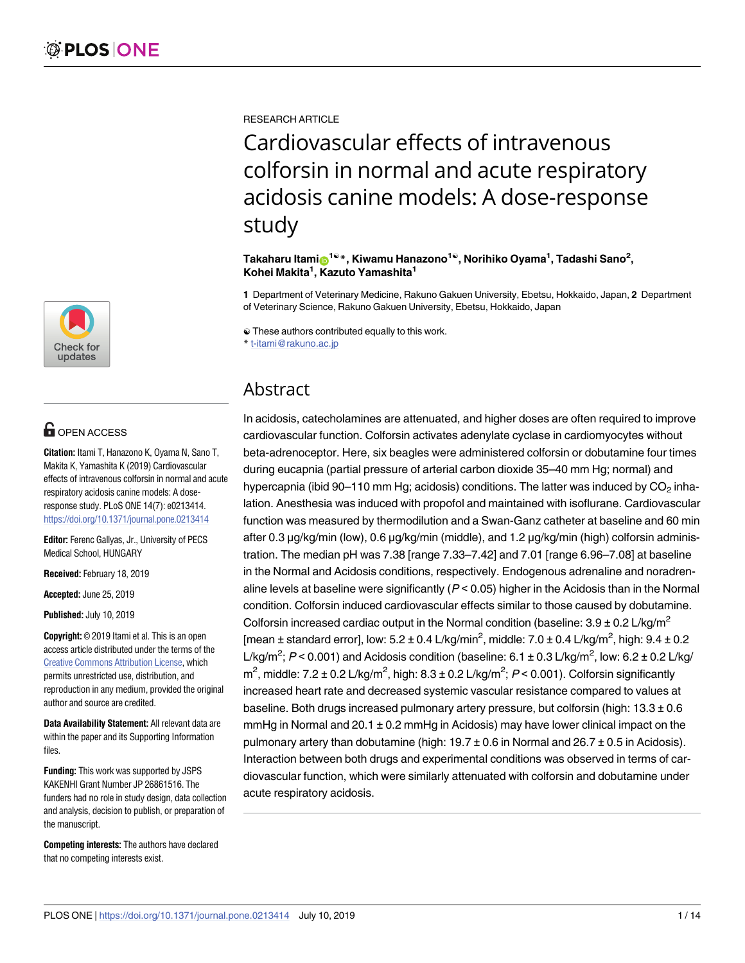

# **OPEN ACCESS**

**Citation:** Itami T, Hanazono K, Oyama N, Sano T, Makita K, Yamashita K (2019) Cardiovascular effects of intravenous colforsin in normal and acute respiratory acidosis canine models: A doseresponse study. PLoS ONE 14(7): e0213414. <https://doi.org/10.1371/journal.pone.0213414>

**Editor:** Ferenc Gallyas, Jr., University of PECS Medical School, HUNGARY

**Received:** February 18, 2019

**Accepted:** June 25, 2019

**Published:** July 10, 2019

**Copyright:** © 2019 Itami et al. This is an open access article distributed under the terms of the Creative Commons [Attribution](http://creativecommons.org/licenses/by/4.0/) License, which permits unrestricted use, distribution, and reproduction in any medium, provided the original author and source are credited.

**Data Availability Statement:** All relevant data are within the paper and its Supporting Information files.

**Funding:** This work was supported by JSPS KAKENHI Grant Number JP 26861516. The funders had no role in study design, data collection and analysis, decision to publish, or preparation of the manuscript.

**Competing interests:** The authors have declared that no competing interests exist.

RESEARCH ARTICLE

Cardiovascular effects of intravenous colforsin in normal and acute respiratory acidosis canine models: A dose-response study

 $\mathbf{I}^{\text{a}}$ kaharu Itami $\mathbf{O}^{1@}*$ , Kiwamu Hanazono $^{1@}$ , Norihiko Oyama $^{1}$ , Tadashi Sano $^{2}$ , **Kohei Makita1 , Kazuto Yamashita1**

**1** Department of Veterinary Medicine, Rakuno Gakuen University, Ebetsu, Hokkaido, Japan, **2** Department of Veterinary Science, Rakuno Gakuen University, Ebetsu, Hokkaido, Japan

☯ These authors contributed equally to this work.

\* t-itami@rakuno.ac.jp

## Abstract

In acidosis, catecholamines are attenuated, and higher doses are often required to improve cardiovascular function. Colforsin activates adenylate cyclase in cardiomyocytes without beta-adrenoceptor. Here, six beagles were administered colforsin or dobutamine four times during eucapnia (partial pressure of arterial carbon dioxide 35–40 mm Hg; normal) and hypercapnia (ibid 90–110 mm Hg; acidosis) conditions. The latter was induced by  $CO<sub>2</sub>$  inhalation. Anesthesia was induced with propofol and maintained with isoflurane. Cardiovascular function was measured by thermodilution and a Swan-Ganz catheter at baseline and 60 min after 0.3 μg/kg/min (low), 0.6 μg/kg/min (middle), and 1.2 μg/kg/min (high) colforsin administration. The median pH was 7.38 [range 7.33–7.42] and 7.01 [range 6.96–7.08] at baseline in the Normal and Acidosis conditions, respectively. Endogenous adrenaline and noradrenaline levels at baseline were significantly  $(P < 0.05)$  higher in the Acidosis than in the Normal condition. Colforsin induced cardiovascular effects similar to those caused by dobutamine. Colforsin increased cardiac output in the Normal condition (baseline:  $3.9 \pm 0.2$  L/kg/m<sup>2</sup> [mean  $\pm$  standard error], low: 5.2  $\pm$  0.4 L/kg/min<sup>2</sup>, middle: 7.0  $\pm$  0.4 L/kg/m<sup>2</sup>, high: 9.4  $\pm$  0.2 L/kg/m<sup>2</sup>; P < 0.001) and Acidosis condition (baseline:  $6.1 \pm 0.3$  L/kg/m<sup>2</sup>, low:  $6.2 \pm 0.2$  L/kg/ m<sup>2</sup>, middle: 7.2 ± 0.2 L/kg/m<sup>2</sup>, high: 8.3 ± 0.2 L/kg/m<sup>2</sup>; P < 0.001). Colforsin significantly increased heart rate and decreased systemic vascular resistance compared to values at baseline. Both drugs increased pulmonary artery pressure, but colforsin (high:  $13.3 \pm 0.6$ mmHg in Normal and 20.1  $\pm$  0.2 mmHg in Acidosis) may have lower clinical impact on the pulmonary artery than dobutamine (high:  $19.7 \pm 0.6$  in Normal and  $26.7 \pm 0.5$  in Acidosis). Interaction between both drugs and experimental conditions was observed in terms of cardiovascular function, which were similarly attenuated with colforsin and dobutamine under acute respiratory acidosis.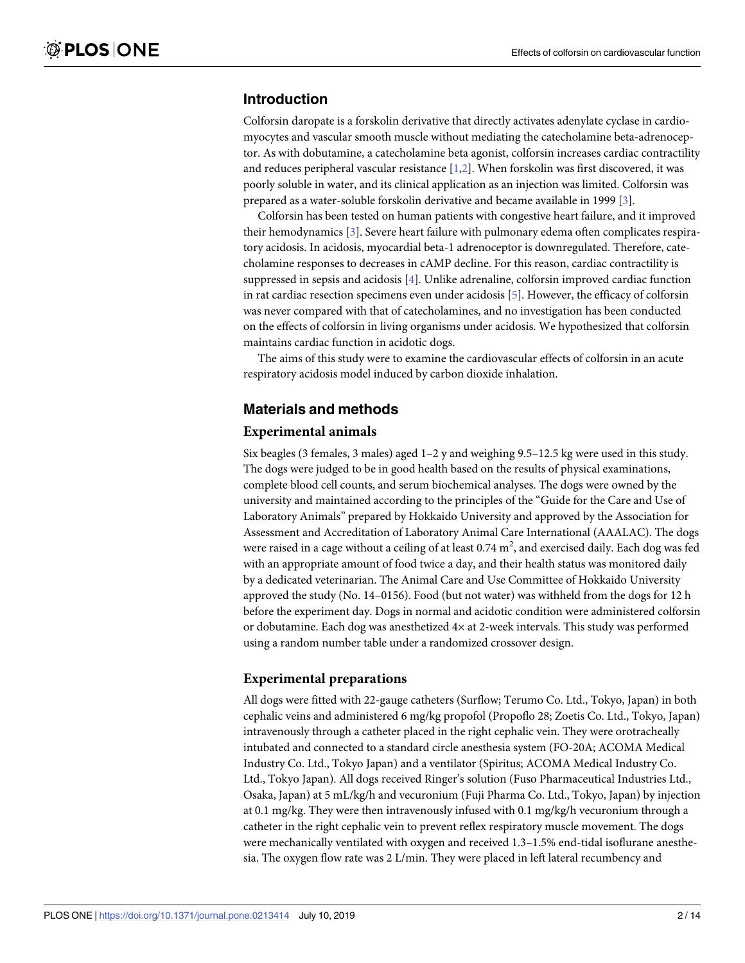## <span id="page-1-0"></span>**Introduction**

Colforsin daropate is a forskolin derivative that directly activates adenylate cyclase in cardiomyocytes and vascular smooth muscle without mediating the catecholamine beta-adrenoceptor. As with dobutamine, a catecholamine beta agonist, colforsin increases cardiac contractility and reduces peripheral vascular resistance [[1](#page-12-0),[2](#page-12-0)]. When forskolin was first discovered, it was poorly soluble in water, and its clinical application as an injection was limited. Colforsin was prepared as a water-soluble forskolin derivative and became available in 1999 [[3\]](#page-12-0).

Colforsin has been tested on human patients with congestive heart failure, and it improved their hemodynamics [[3](#page-12-0)]. Severe heart failure with pulmonary edema often complicates respiratory acidosis. In acidosis, myocardial beta-1 adrenoceptor is downregulated. Therefore, catecholamine responses to decreases in cAMP decline. For this reason, cardiac contractility is suppressed in sepsis and acidosis [[4\]](#page-12-0). Unlike adrenaline, colforsin improved cardiac function in rat cardiac resection specimens even under acidosis [[5](#page-12-0)]. However, the efficacy of colforsin was never compared with that of catecholamines, and no investigation has been conducted on the effects of colforsin in living organisms under acidosis. We hypothesized that colforsin maintains cardiac function in acidotic dogs.

The aims of this study were to examine the cardiovascular effects of colforsin in an acute respiratory acidosis model induced by carbon dioxide inhalation.

#### **Materials and methods**

#### **Experimental animals**

Six beagles (3 females, 3 males) aged  $1-2$  y and weighing  $9.5-12.5$  kg were used in this study. The dogs were judged to be in good health based on the results of physical examinations, complete blood cell counts, and serum biochemical analyses. The dogs were owned by the university and maintained according to the principles of the "Guide for the Care and Use of Laboratory Animals" prepared by Hokkaido University and approved by the Association for Assessment and Accreditation of Laboratory Animal Care International (AAALAC). The dogs were raised in a cage without a ceiling of at least 0.74  $m^2$ , and exercised daily. Each dog was fed with an appropriate amount of food twice a day, and their health status was monitored daily by a dedicated veterinarian. The Animal Care and Use Committee of Hokkaido University approved the study (No. 14–0156). Food (but not water) was withheld from the dogs for 12 h before the experiment day. Dogs in normal and acidotic condition were administered colforsin or dobutamine. Each dog was anesthetized 4× at 2-week intervals. This study was performed using a random number table under a randomized crossover design.

#### **Experimental preparations**

All dogs were fitted with 22-gauge catheters (Surflow; Terumo Co. Ltd., Tokyo, Japan) in both cephalic veins and administered 6 mg/kg propofol (Propoflo 28; Zoetis Co. Ltd., Tokyo, Japan) intravenously through a catheter placed in the right cephalic vein. They were orotracheally intubated and connected to a standard circle anesthesia system (FO-20A; ACOMA Medical Industry Co. Ltd., Tokyo Japan) and a ventilator (Spiritus; ACOMA Medical Industry Co. Ltd., Tokyo Japan). All dogs received Ringer's solution (Fuso Pharmaceutical Industries Ltd., Osaka, Japan) at 5 mL/kg/h and vecuronium (Fuji Pharma Co. Ltd., Tokyo, Japan) by injection at 0.1 mg/kg. They were then intravenously infused with 0.1 mg/kg/h vecuronium through a catheter in the right cephalic vein to prevent reflex respiratory muscle movement. The dogs were mechanically ventilated with oxygen and received 1.3–1.5% end-tidal isoflurane anesthesia. The oxygen flow rate was 2 L/min. They were placed in left lateral recumbency and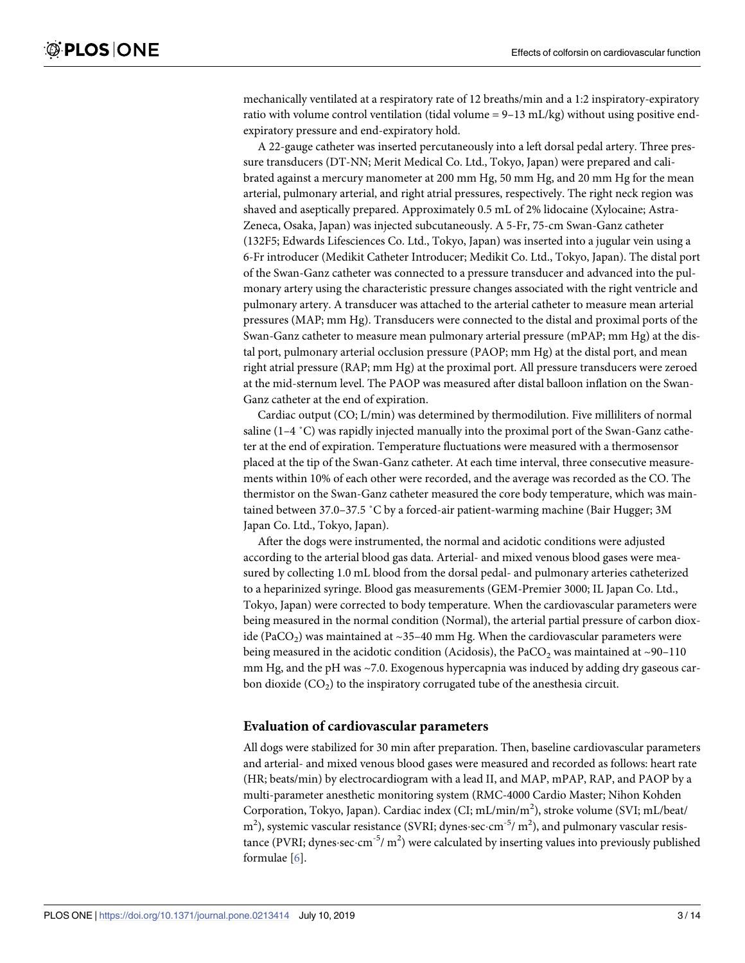<span id="page-2-0"></span>mechanically ventilated at a respiratory rate of 12 breaths/min and a 1:2 inspiratory-expiratory ratio with volume control ventilation (tidal volume  $= 9-13$  mL/kg) without using positive endexpiratory pressure and end-expiratory hold.

A 22-gauge catheter was inserted percutaneously into a left dorsal pedal artery. Three pressure transducers (DT-NN; Merit Medical Co. Ltd., Tokyo, Japan) were prepared and calibrated against a mercury manometer at 200 mm Hg, 50 mm Hg, and 20 mm Hg for the mean arterial, pulmonary arterial, and right atrial pressures, respectively. The right neck region was shaved and aseptically prepared. Approximately 0.5 mL of 2% lidocaine (Xylocaine; Astra-Zeneca, Osaka, Japan) was injected subcutaneously. A 5-Fr, 75-cm Swan-Ganz catheter (132F5; Edwards Lifesciences Co. Ltd., Tokyo, Japan) was inserted into a jugular vein using a 6-Fr introducer (Medikit Catheter Introducer; Medikit Co. Ltd., Tokyo, Japan). The distal port of the Swan-Ganz catheter was connected to a pressure transducer and advanced into the pulmonary artery using the characteristic pressure changes associated with the right ventricle and pulmonary artery. A transducer was attached to the arterial catheter to measure mean arterial pressures (MAP; mm Hg). Transducers were connected to the distal and proximal ports of the Swan-Ganz catheter to measure mean pulmonary arterial pressure (mPAP; mm Hg) at the distal port, pulmonary arterial occlusion pressure (PAOP; mm Hg) at the distal port, and mean right atrial pressure (RAP; mm Hg) at the proximal port. All pressure transducers were zeroed at the mid-sternum level. The PAOP was measured after distal balloon inflation on the Swan-Ganz catheter at the end of expiration.

Cardiac output (CO; L/min) was determined by thermodilution. Five milliliters of normal saline (1–4 ˚C) was rapidly injected manually into the proximal port of the Swan-Ganz catheter at the end of expiration. Temperature fluctuations were measured with a thermosensor placed at the tip of the Swan-Ganz catheter. At each time interval, three consecutive measurements within 10% of each other were recorded, and the average was recorded as the CO. The thermistor on the Swan-Ganz catheter measured the core body temperature, which was maintained between 37.0–37.5 ˚C by a forced-air patient-warming machine (Bair Hugger; 3M Japan Co. Ltd., Tokyo, Japan).

After the dogs were instrumented, the normal and acidotic conditions were adjusted according to the arterial blood gas data. Arterial- and mixed venous blood gases were measured by collecting 1.0 mL blood from the dorsal pedal- and pulmonary arteries catheterized to a heparinized syringe. Blood gas measurements (GEM-Premier 3000; IL Japan Co. Ltd., Tokyo, Japan) were corrected to body temperature. When the cardiovascular parameters were being measured in the normal condition (Normal), the arterial partial pressure of carbon dioxide (PaCO<sub>2</sub>) was maintained at ~35–40 mm Hg. When the cardiovascular parameters were being measured in the acidotic condition (Acidosis), the PaCO<sub>2</sub> was maintained at  $\sim$ 90–110 mm Hg, and the pH was ~7.0. Exogenous hypercapnia was induced by adding dry gaseous carbon dioxide  $(CO<sub>2</sub>)$  to the inspiratory corrugated tube of the anesthesia circuit.

#### **Evaluation of cardiovascular parameters**

All dogs were stabilized for 30 min after preparation. Then, baseline cardiovascular parameters and arterial- and mixed venous blood gases were measured and recorded as follows: heart rate (HR; beats/min) by electrocardiogram with a lead II, and MAP, mPAP, RAP, and PAOP by a multi-parameter anesthetic monitoring system (RMC-4000 Cardio Master; Nihon Kohden Corporation, Tokyo, Japan). Cardiac index (CI; mL/min/m<sup>2</sup>), stroke volume (SVI; mL/beat/  $\text{m}^2$ ), systemic vascular resistance (SVRI; dynes·sec·cm<sup>-5</sup>/m<sup>2</sup>), and pulmonary vascular resistance (PVRI; dynes-sec-cm<sup>-5</sup>/ m<sup>2</sup>) were calculated by inserting values into previously published formulae [[6\]](#page-12-0).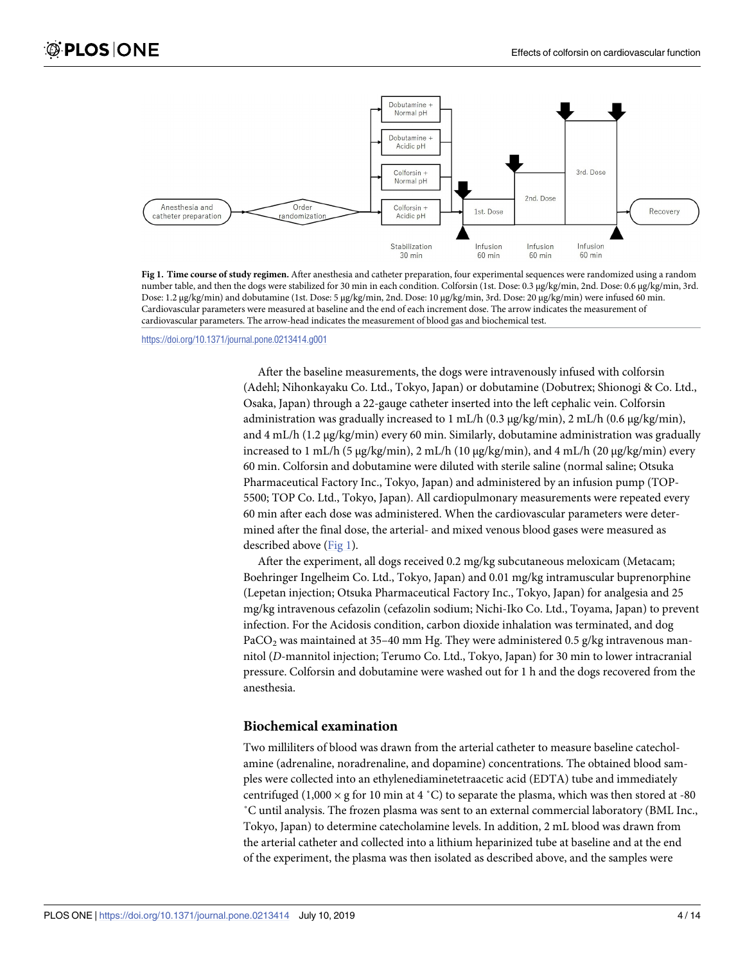

**Fig 1. Time course of study regimen.** After anesthesia and catheter preparation, four experimental sequences were randomized using a random number table, and then the dogs were stabilized for 30 min in each condition. Colforsin (1st. Dose: 0.3 μg/kg/min, 2nd. Dose: 0.6 μg/kg/min, 3rd. Dose: 1.2 μg/kg/min) and dobutamine (1st. Dose: 5 μg/kg/min, 2nd. Dose: 10 μg/kg/min, 3rd. Dose: 20 μg/kg/min) were infused 60 min. Cardiovascular parameters were measured at baseline and the end of each increment dose. The arrow indicates the measurement of cardiovascular parameters. The arrow-head indicates the measurement of blood gas and biochemical test.

<https://doi.org/10.1371/journal.pone.0213414.g001>

After the baseline measurements, the dogs were intravenously infused with colforsin (Adehl; Nihonkayaku Co. Ltd., Tokyo, Japan) or dobutamine (Dobutrex; Shionogi & Co. Ltd., Osaka, Japan) through a 22-gauge catheter inserted into the left cephalic vein. Colforsin administration was gradually increased to 1 mL/h (0.3 μg/kg/min), 2 mL/h (0.6 μg/kg/min), and 4 mL/h (1.2 μg/kg/min) every 60 min. Similarly, dobutamine administration was gradually increased to 1 mL/h (5 μg/kg/min), 2 mL/h (10 μg/kg/min), and 4 mL/h (20 μg/kg/min) every 60 min. Colforsin and dobutamine were diluted with sterile saline (normal saline; Otsuka Pharmaceutical Factory Inc., Tokyo, Japan) and administered by an infusion pump (TOP-5500; TOP Co. Ltd., Tokyo, Japan). All cardiopulmonary measurements were repeated every 60 min after each dose was administered. When the cardiovascular parameters were determined after the final dose, the arterial- and mixed venous blood gases were measured as described above (Fig 1).

After the experiment, all dogs received 0.2 mg/kg subcutaneous meloxicam (Metacam; Boehringer Ingelheim Co. Ltd., Tokyo, Japan) and 0.01 mg/kg intramuscular buprenorphine (Lepetan injection; Otsuka Pharmaceutical Factory Inc., Tokyo, Japan) for analgesia and 25 mg/kg intravenous cefazolin (cefazolin sodium; Nichi-Iko Co. Ltd., Toyama, Japan) to prevent infection. For the Acidosis condition, carbon dioxide inhalation was terminated, and dog PaCO<sub>2</sub> was maintained at 35-40 mm Hg. They were administered 0.5 g/kg intravenous mannitol (*D*-mannitol injection; Terumo Co. Ltd., Tokyo, Japan) for 30 min to lower intracranial pressure. Colforsin and dobutamine were washed out for 1 h and the dogs recovered from the anesthesia.

#### **Biochemical examination**

Two milliliters of blood was drawn from the arterial catheter to measure baseline catecholamine (adrenaline, noradrenaline, and dopamine) concentrations. The obtained blood samples were collected into an ethylenediaminetetraacetic acid (EDTA) tube and immediately centrifuged (1,000  $\times$  g for 10 min at 4 °C) to separate the plasma, which was then stored at -80 ˚C until analysis. The frozen plasma was sent to an external commercial laboratory (BML Inc., Tokyo, Japan) to determine catecholamine levels. In addition, 2 mL blood was drawn from the arterial catheter and collected into a lithium heparinized tube at baseline and at the end of the experiment, the plasma was then isolated as described above, and the samples were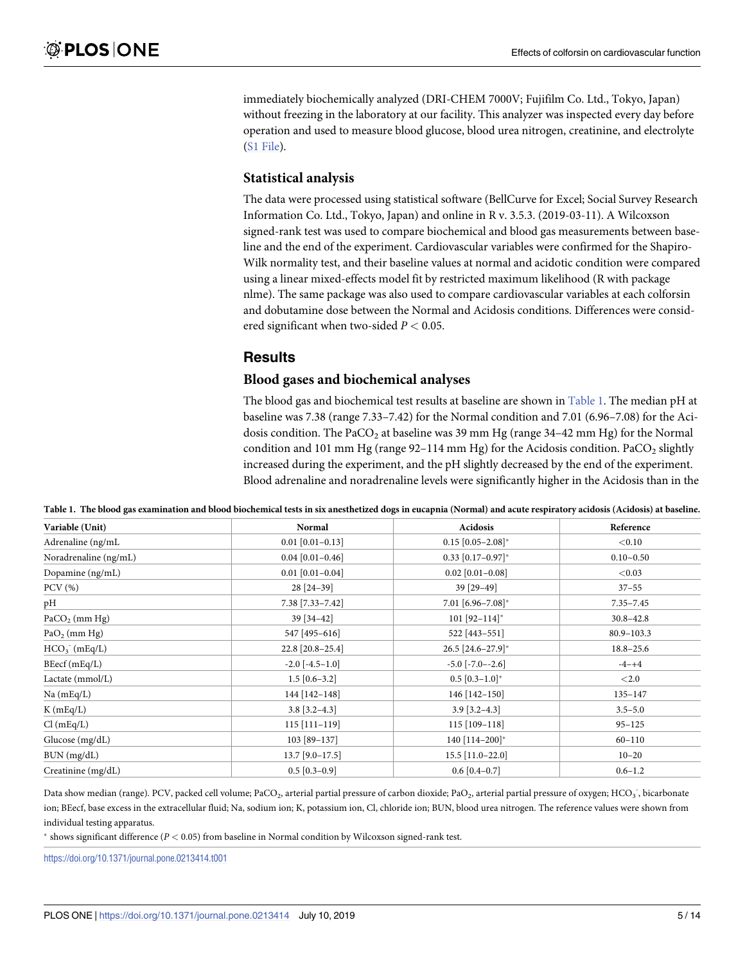immediately biochemically analyzed (DRI-CHEM 7000V; Fujifilm Co. Ltd., Tokyo, Japan) without freezing in the laboratory at our facility. This analyzer was inspected every day before operation and used to measure blood glucose, blood urea nitrogen, creatinine, and electrolyte (S1 [File\)](#page-11-0).

#### **Statistical analysis**

The data were processed using statistical software (BellCurve for Excel; Social Survey Research Information Co. Ltd., Tokyo, Japan) and online in R v. 3.5.3. (2019-03-11). A Wilcoxson signed-rank test was used to compare biochemical and blood gas measurements between baseline and the end of the experiment. Cardiovascular variables were confirmed for the Shapiro-Wilk normality test, and their baseline values at normal and acidotic condition were compared using a linear mixed-effects model fit by restricted maximum likelihood (R with package nlme). The same package was also used to compare cardiovascular variables at each colforsin and dobutamine dose between the Normal and Acidosis conditions. Differences were considered significant when two-sided *P <* 0.05.

#### **Results**

#### **Blood gases and biochemical analyses**

The blood gas and biochemical test results at baseline are shown in Table 1. The median pH at baseline was 7.38 (range 7.33–7.42) for the Normal condition and 7.01 (6.96–7.08) for the Acidosis condition. The PaCO<sub>2</sub> at baseline was 39 mm Hg (range 34-42 mm Hg) for the Normal condition and 101 mm Hg (range  $92-114$  mm Hg) for the Acidosis condition. PaCO<sub>2</sub> slightly increased during the experiment, and the pH slightly decreased by the end of the experiment. Blood adrenaline and noradrenaline levels were significantly higher in the Acidosis than in the

| Table 1. The blood gas examination and blood biochemical tests in six anesthetized dogs in eucapnia (Normal) and acute respiratory acidosis (Acidosis) at baseline. |  |  |  |  |  |
|---------------------------------------------------------------------------------------------------------------------------------------------------------------------|--|--|--|--|--|
|                                                                                                                                                                     |  |  |  |  |  |

| Variable (Unit)       | <b>Normal</b>         | Acidosis                     | Reference      |  |  |
|-----------------------|-----------------------|------------------------------|----------------|--|--|
| Adrenaline (ng/mL     | $0.01$ [0.01-0.13]    | $0.15$ [0.05-2.08]*          | < 0.10         |  |  |
| Noradrenaline (ng/mL) | $0.04$ [0.01-0.46]    | $0.33$ [0.17-0.97]*          | $0.10 - 0.50$  |  |  |
| Dopamine (ng/mL)      | $0.01$ [0.01-0.04]    | $0.02$ [0.01-0.08]           | < 0.03         |  |  |
| $PCV$ $(\%)$          | 28 [24-39]            | 39 [29-49]                   | $37 - 55$      |  |  |
| pH                    | 7.38 [7.33-7.42]      | $7.01$ [6.96-7.08]*          | $7.35 - 7.45$  |  |  |
| $PaCO2$ (mm Hg)       | 39 [34-42]            | $101$ [92-114]*              | $30.8 - 42.8$  |  |  |
| $PaO2$ (mm Hg)        | 547 [495-616]         | 522 [443-551]                | $80.9 - 103.3$ |  |  |
| $HCO3$ (mEq/L)        | 22.8 [20.8-25.4]      | $26.5$ [24.6-27.9]*          | $18.8 - 25.6$  |  |  |
| BEecf(mEq/L)          | $-2.0$ [ $-4.5-1.0$ ] | $-5.0$ $[-7.0 - 2.6]$        | $-4-+4$        |  |  |
| Lactate (mmol/L)      | $1.5$ [0.6-3.2]       | $0.5$ [0.3-1.0]*             | < 2.0          |  |  |
| Na(mEq/L)             | 144 [142-148]         | 146 [142-150]                | 135-147        |  |  |
| $K$ (mEq/L)           | $3.8$ [3.2-4.3]       | $3.9$ [ $3.2-4.3$ ]          | $3.5 - 5.0$    |  |  |
| Cl(mEq/L)             | $115$ [111-119]       | 115 [109-118]                | $95 - 125$     |  |  |
| Glucose (mg/dL)       | 103 [89-137]          | 140 $[114-200]$ <sup>*</sup> | $60 - 110$     |  |  |
| BUN (mg/dL)           | $13.7$ [9.0-17.5]     | $15.5$ [11.0-22.0]           | $10 - 20$      |  |  |
| Creatinine (mg/dL)    | $0.5$ [0.3-0.9]       | $0.6$ [0.4-0.7]              | $0.6 - 1.2$    |  |  |

Data show median (range). PCV, packed cell volume; PaCO<sub>2</sub>, arterial partial pressure of carbon dioxide; PaO<sub>2</sub>, arterial partial pressure of oxygen; HCO<sub>3</sub><sup>-</sup>, bicarbonate ion; BEecf, base excess in the extracellular fluid; Na, sodium ion; K, potassium ion, Cl, chloride ion; BUN, blood urea nitrogen. The reference values were shown from individual testing apparatus.

� shows significant difference (*P <* 0.05) from baseline in Normal condition by Wilcoxson signed-rank test.

<https://doi.org/10.1371/journal.pone.0213414.t001>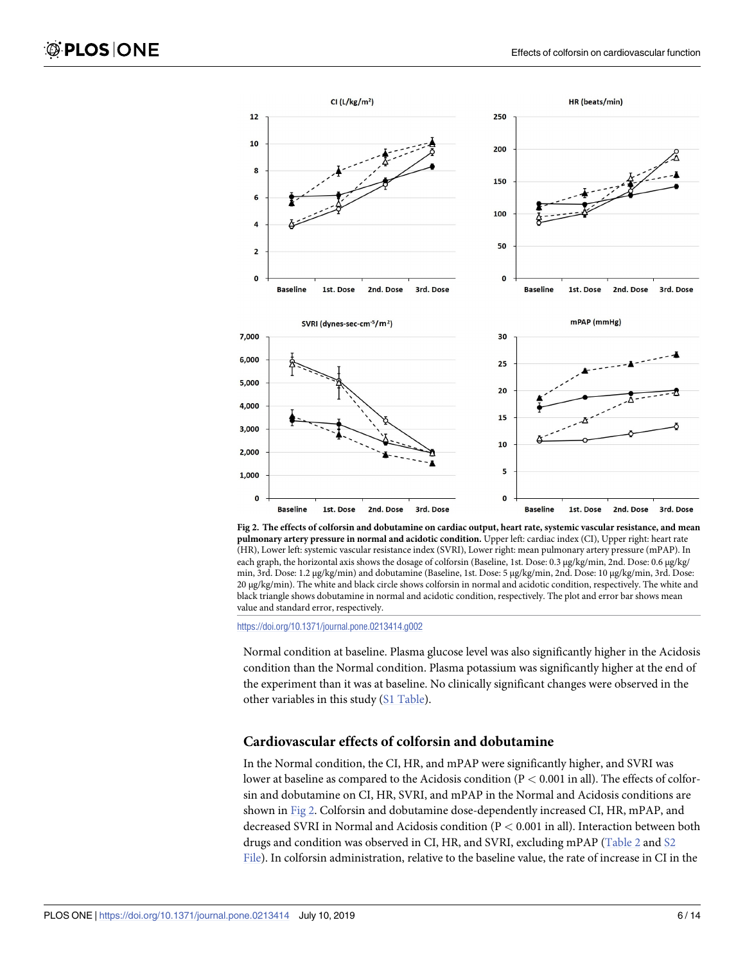<span id="page-5-0"></span>

Fig 2. The effects of colforsin and dobutamine on cardiac output, heart rate, systemic vascular resistance, and mean **pulmonary artery pressure in normal and acidotic condition.** Upper left: cardiac index (CI), Upper right: heart rate (HR), Lower left: systemic vascular resistance index (SVRI), Lower right: mean pulmonary artery pressure (mPAP). In each graph, the horizontal axis shows the dosage of colforsin (Baseline, 1st. Dose: 0.3 μg/kg/min, 2nd. Dose: 0.6 μg/kg/ min, 3rd. Dose: 1.2 μg/kg/min) and dobutamine (Baseline, 1st. Dose: 5 μg/kg/min, 2nd. Dose: 10 μg/kg/min, 3rd. Dose: 20 μg/kg/min). The white and black circle shows colforsin in normal and acidotic condition, respectively. The white and black triangle shows dobutamine in normal and acidotic condition, respectively. The plot and error bar shows mean value and standard error, respectively.

<https://doi.org/10.1371/journal.pone.0213414.g002>

Normal condition at baseline. Plasma glucose level was also significantly higher in the Acidosis condition than the Normal condition. Plasma potassium was significantly higher at the end of the experiment than it was at baseline. No clinically significant changes were observed in the other variables in this study (S1 [Table\)](#page-11-0).

#### **Cardiovascular effects of colforsin and dobutamine**

In the Normal condition, the CI, HR, and mPAP were significantly higher, and SVRI was lower at baseline as compared to the Acidosis condition (P *<* 0.001 in all). The effects of colforsin and dobutamine on CI, HR, SVRI, and mPAP in the Normal and Acidosis conditions are shown in Fig 2. Colforsin and dobutamine dose-dependently increased CI, HR, mPAP, and decreased SVRI in Normal and Acidosis condition (P *<* 0.001 in all). Interaction between both drugs and condition was observed in CI, HR, and SVRI, excluding mPAP [\(Table](#page-6-0) 2 and [S2](#page-11-0) [File\)](#page-11-0). In colforsin administration, relative to the baseline value, the rate of increase in CI in the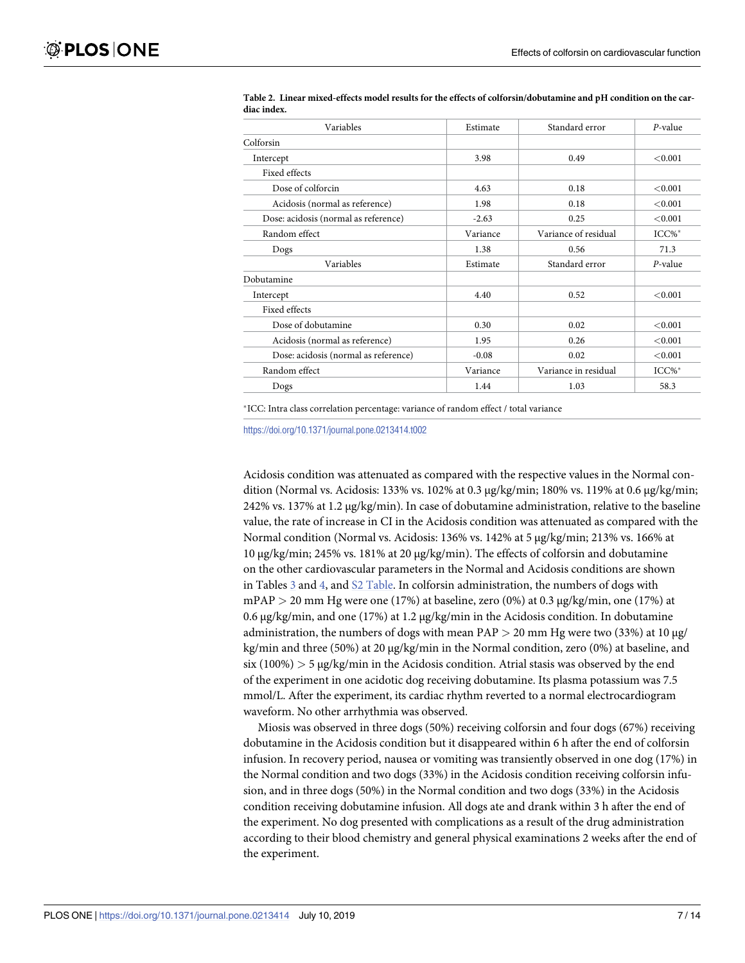| Variables                            | Estimate | Standard error       | $P$ -value |
|--------------------------------------|----------|----------------------|------------|
| Colforsin                            |          |                      |            |
| Intercept                            | 3.98     | 0.49                 | < 0.001    |
| Fixed effects                        |          |                      |            |
| Dose of colforcin                    | 4.63     | 0.18                 | < 0.001    |
| Acidosis (normal as reference)       | 1.98     | 0.18                 | < 0.001    |
| Dose: acidosis (normal as reference) | $-2.63$  | 0.25                 | < 0.001    |
| Random effect                        | Variance | Variance of residual | $ICC\%*$   |
| Dogs                                 | 1.38     | 0.56                 | 71.3       |
| Variables                            | Estimate | Standard error       | $P$ -value |
| Dobutamine                           |          |                      |            |
| Intercept                            | 4.40     | 0.52                 | < 0.001    |
| Fixed effects                        |          |                      |            |
| Dose of dobutamine                   | 0.30     | 0.02                 | < 0.001    |
| Acidosis (normal as reference)       | 1.95     | 0.26                 | < 0.001    |
| Dose: acidosis (normal as reference) | $-0.08$  | 0.02                 | < 0.001    |
| Random effect                        | Variance | Variance in residual | ICC%*      |
| Dogs                                 | 1.44     | 1.03                 | 58.3       |

<span id="page-6-0"></span>[Table](#page-5-0) 2. Linear mixed-effects model results for the effects of colforsin/dobutamine and pH condition on the car**diac index.**

�ICC: Intra class correlation percentage: variance of random effect / total variance

<https://doi.org/10.1371/journal.pone.0213414.t002>

Acidosis condition was attenuated as compared with the respective values in the Normal condition (Normal vs. Acidosis: 133% vs. 102% at 0.3 μg/kg/min; 180% vs. 119% at 0.6 μg/kg/min; 242% vs. 137% at 1.2 μg/kg/min). In case of dobutamine administration, relative to the baseline value, the rate of increase in CI in the Acidosis condition was attenuated as compared with the Normal condition (Normal vs. Acidosis: 136% vs. 142% at 5 μg/kg/min; 213% vs. 166% at 10 μg/kg/min; 245% vs. 181% at 20 μg/kg/min). The effects of colforsin and dobutamine on the other cardiovascular parameters in the Normal and Acidosis conditions are shown in [Table](#page-11-0)s  $\frac{3}{2}$  $\frac{3}{2}$  $\frac{3}{2}$  and  $\frac{4}{2}$  $\frac{4}{2}$  $\frac{4}{2}$ , and  $\frac{52 \text{ Table}}{2}$ . In colforsin administration, the numbers of dogs with mPAP *>* 20 mm Hg were one (17%) at baseline, zero (0%) at 0.3 μg/kg/min, one (17%) at 0.6 μg/kg/min, and one (17%) at 1.2 μg/kg/min in the Acidosis condition. In dobutamine administration, the numbers of dogs with mean PAP *>* 20 mm Hg were two (33%) at 10 μg/ kg/min and three (50%) at 20 μg/kg/min in the Normal condition, zero (0%) at baseline, and six (100%) *>* 5 μg/kg/min in the Acidosis condition. Atrial stasis was observed by the end of the experiment in one acidotic dog receiving dobutamine. Its plasma potassium was 7.5 mmol/L. After the experiment, its cardiac rhythm reverted to a normal electrocardiogram waveform. No other arrhythmia was observed.

Miosis was observed in three dogs (50%) receiving colforsin and four dogs (67%) receiving dobutamine in the Acidosis condition but it disappeared within 6 h after the end of colforsin infusion. In recovery period, nausea or vomiting was transiently observed in one dog (17%) in the Normal condition and two dogs (33%) in the Acidosis condition receiving colforsin infusion, and in three dogs (50%) in the Normal condition and two dogs (33%) in the Acidosis condition receiving dobutamine infusion. All dogs ate and drank within 3 h after the end of the experiment. No dog presented with complications as a result of the drug administration according to their blood chemistry and general physical examinations 2 weeks after the end of the experiment.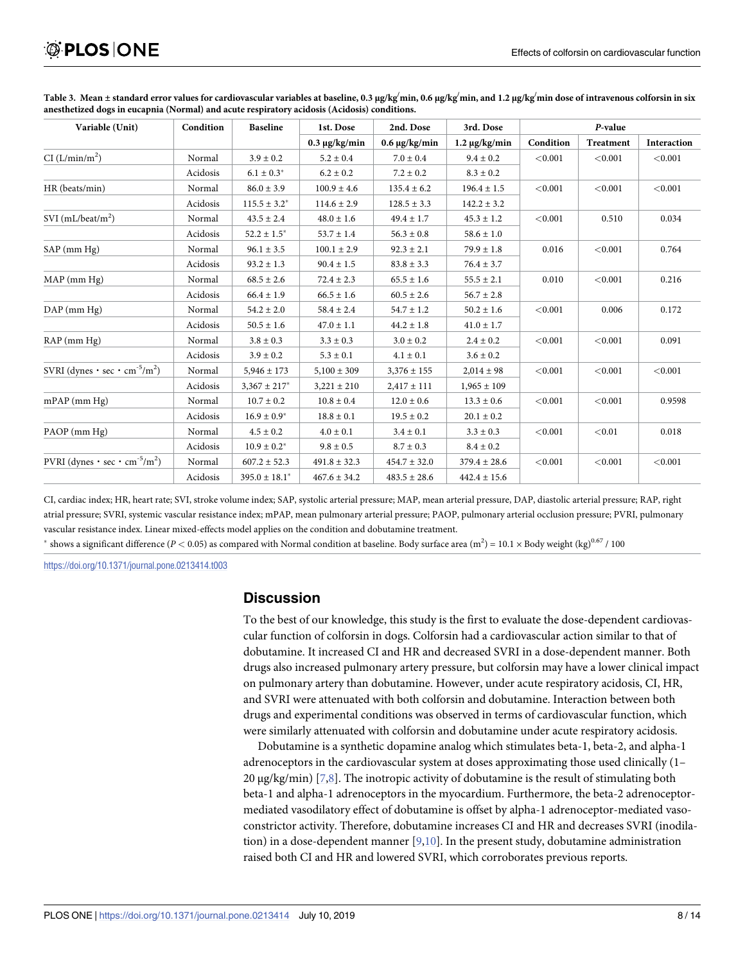| Variable (Unit)                                                    | Condition | <b>Baseline</b>    | 1st. Dose          | 2nd. Dose          | 3rd. Dose          | P-value   |           |             |
|--------------------------------------------------------------------|-----------|--------------------|--------------------|--------------------|--------------------|-----------|-----------|-------------|
|                                                                    |           |                    | $0.3 \mu g/kg/min$ | $0.6 \mu g/kg/min$ | $1.2 \mu g/kg/min$ | Condition | Treatment | Interaction |
| CI (L/min/m <sup>2</sup> )                                         | Normal    | $3.9 \pm 0.2$      | $5.2 \pm 0.4$      | $7.0 \pm 0.4$      | $9.4 \pm 0.2$      | < 0.001   | < 0.001   | < 0.001     |
|                                                                    | Acidosis  | $6.1 \pm 0.3^*$    | $6.2 \pm 0.2$      | $7.2 \pm 0.2$      | $8.3 \pm 0.2$      |           |           |             |
| HR (beats/min)                                                     | Normal    | $86.0 \pm 3.9$     | $100.9 \pm 4.6$    | $135.4 \pm 6.2$    | $196.4 \pm 1.5$    | < 0.001   | < 0.001   | < 0.001     |
|                                                                    | Acidosis  | $115.5 \pm 3.2^*$  | $114.6 \pm 2.9$    | $128.5 \pm 3.3$    | $142.2 \pm 3.2$    |           |           |             |
| SVI $(mL/beat/m2)$                                                 | Normal    | $43.5 \pm 2.4$     | $48.0 \pm 1.6$     | $49.4 \pm 1.7$     | $45.3 \pm 1.2$     | < 0.001   | 0.510     | 0.034       |
|                                                                    | Acidosis  | $52.2 \pm 1.5^*$   | $53.7 \pm 1.4$     | $56.3 \pm 0.8$     | $58.6 \pm 1.0$     |           |           |             |
| $SAP$ (mm $Hg$ )                                                   | Normal    | $96.1 \pm 3.5$     | $100.1 \pm 2.9$    | $92.3 \pm 2.1$     | $79.9 \pm 1.8$     | 0.016     | < 0.001   | 0.764       |
|                                                                    | Acidosis  | $93.2 \pm 1.3$     | $90.4 \pm 1.5$     | $83.8 \pm 3.3$     | $76.4 \pm 3.7$     |           |           |             |
| $MAP$ (mm $Hg$ )                                                   | Normal    | $68.5 \pm 2.6$     | $72.4 \pm 2.3$     | $65.5 \pm 1.6$     | $55.5 \pm 2.1$     | 0.010     | < 0.001   | 0.216       |
|                                                                    | Acidosis  | $66.4 \pm 1.9$     | $66.5 \pm 1.6$     | $60.5 \pm 2.6$     | $56.7 \pm 2.8$     |           |           |             |
| $DAP$ (mm $Hg$ )                                                   | Normal    | $54.2 \pm 2.0$     | $58.4 \pm 2.4$     | $54.7 \pm 1.2$     | $50.2 \pm 1.6$     | < 0.001   | 0.006     | 0.172       |
|                                                                    | Acidosis  | $50.5 \pm 1.6$     | $47.0 \pm 1.1$     | $44.2 \pm 1.8$     | $41.0 \pm 1.7$     |           |           |             |
| $RAP$ (mm $Hg$ )                                                   | Normal    | $3.8 \pm 0.3$      | $3.3 \pm 0.3$      | $3.0 \pm 0.2$      | $2.4 \pm 0.2$      | < 0.001   | < 0.001   | 0.091       |
|                                                                    | Acidosis  | $3.9 \pm 0.2$      | $5.3 \pm 0.1$      | $4.1 \pm 0.1$      | $3.6 \pm 0.2$      |           |           |             |
| SVRI (dynes $\cdot$ sec $\cdot$ cm <sup>-5</sup> /m <sup>2</sup> ) | Normal    | $5,946 \pm 173$    | $5,100 \pm 309$    | $3,376 \pm 155$    | $2,014 \pm 98$     | < 0.001   | < 0.001   | < 0.001     |
|                                                                    | Acidosis  | $3,367 \pm 217$ *  | $3,221 \pm 210$    | $2,417 \pm 111$    | $1,965 \pm 109$    |           |           |             |
| $mPAP$ (mm $Hg$ )                                                  | Normal    | $10.7 \pm 0.2$     | $10.8 \pm 0.4$     | $12.0 \pm 0.6$     | $13.3 \pm 0.6$     | < 0.001   | < 0.001   | 0.9598      |
|                                                                    | Acidosis  | $16.9 \pm 0.9^*$   | $18.8 \pm 0.1$     | $19.5 \pm 0.2$     | $20.1 \pm 0.2$     |           |           |             |
| PAOP (mm Hg)                                                       | Normal    | $4.5 \pm 0.2$      | $4.0 \pm 0.1$      | $3.4 \pm 0.1$      | $3.3 \pm 0.3$      | < 0.001   | < 0.01    | 0.018       |
|                                                                    | Acidosis  | $10.9 \pm 0.2^*$   | $9.8 \pm 0.5$      | $8.7 \pm 0.3$      | $8.4 \pm 0.2$      |           |           |             |
| PVRI (dynes $\cdot$ sec $\cdot$ cm <sup>-5</sup> /m <sup>2</sup> ) | Normal    | $607.2 \pm 52.3$   | $491.8 \pm 32.3$   | $454.7 \pm 32.0$   | $379.4 \pm 28.6$   | < 0.001   | < 0.001   | < 0.001     |
|                                                                    | Acidosis  | $395.0 \pm 18.1^*$ | $467.6 \pm 34.2$   | $483.5 \pm 28.6$   | $442.4 \pm 15.6$   |           |           |             |

<span id="page-7-0"></span>[Table](#page-6-0) 3. Mean±standard error values for cardiovascular variables at baseline, 0.3 µg/kg<sup>/</sup>min, 0.6 µg/kg<sup>/</sup>min, and 1.2 µg/kg<sup>/</sup>min dose of intravenous colforsin in six **anesthetized dogs in eucapnia (Normal) and acute respiratory acidosis (Acidosis) conditions.**

CI, cardiac index; HR, heart rate; SVI, stroke volume index; SAP, systolic arterial pressure; MAP, mean arterial pressure, DAP, diastolic arterial pressure; RAP, right atrial pressure; SVRI, systemic vascular resistance index; mPAP, mean pulmonary arterial pressure; PAOP, pulmonary arterial occlusion pressure; PVRI, pulmonary vascular resistance index. Linear mixed-effects model applies on the condition and dobutamine treatment.

 $^*$  shows a significant difference (*P* < 0.05) as compared with Normal condition at baseline. Body surface area (m<sup>2</sup>) = 10.1 × Body weight (kg)<sup>0.67</sup> / 100

<https://doi.org/10.1371/journal.pone.0213414.t003>

#### **Discussion**

To the best of our knowledge, this study is the first to evaluate the dose-dependent cardiovascular function of colforsin in dogs. Colforsin had a cardiovascular action similar to that of dobutamine. It increased CI and HR and decreased SVRI in a dose-dependent manner. Both drugs also increased pulmonary artery pressure, but colforsin may have a lower clinical impact on pulmonary artery than dobutamine. However, under acute respiratory acidosis, CI, HR, and SVRI were attenuated with both colforsin and dobutamine. Interaction between both drugs and experimental conditions was observed in terms of cardiovascular function, which were similarly attenuated with colforsin and dobutamine under acute respiratory acidosis.

Dobutamine is a synthetic dopamine analog which stimulates beta-1, beta-2, and alpha-1 adrenoceptors in the cardiovascular system at doses approximating those used clinically (1– 20 μg/kg/min) [\[7,8\]](#page-12-0). The inotropic activity of dobutamine is the result of stimulating both beta-1 and alpha-1 adrenoceptors in the myocardium. Furthermore, the beta-2 adrenoceptormediated vasodilatory effect of dobutamine is offset by alpha-1 adrenoceptor-mediated vasoconstrictor activity. Therefore, dobutamine increases CI and HR and decreases SVRI (inodilation) in a dose-dependent manner  $[9,10]$ . In the present study, dobutamine administration raised both CI and HR and lowered SVRI, which corroborates previous reports.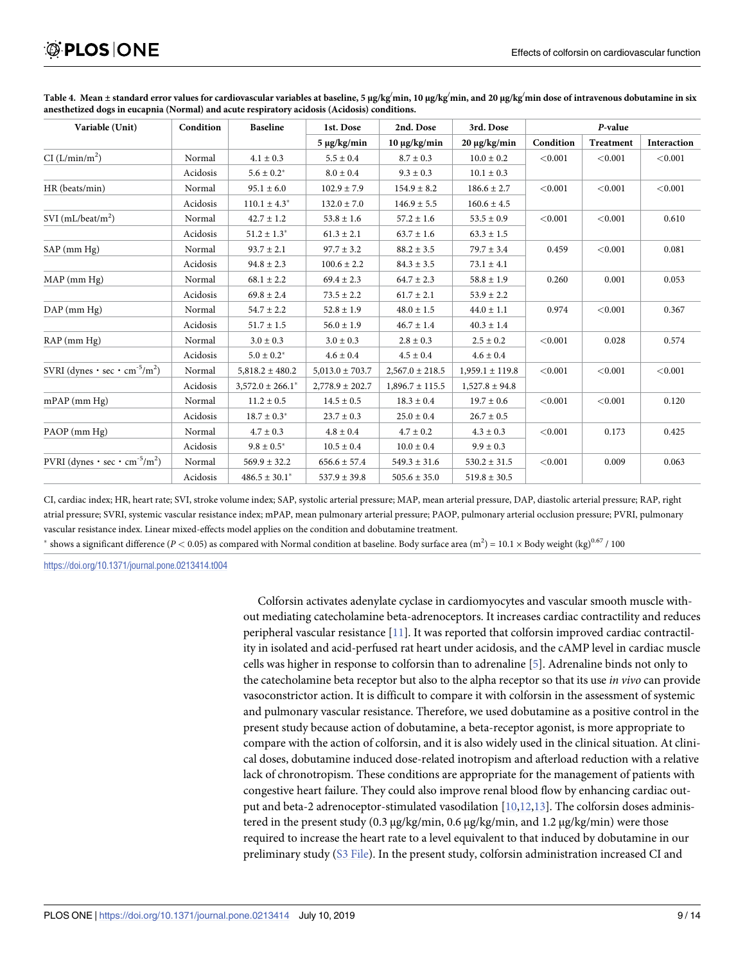| Variable (Unit)                                                    | Condition | <b>Baseline</b>       | 1st. Dose           | 2nd. Dose           | 3rd. Dose           | P-value   |                  |             |
|--------------------------------------------------------------------|-----------|-----------------------|---------------------|---------------------|---------------------|-----------|------------------|-------------|
|                                                                    |           |                       | $5 \mu g/kg/min$    | $10 \mu g/kg/min$   | 20 μg/kg/min        | Condition | <b>Treatment</b> | Interaction |
| CI (L/min/m <sup>2</sup> )                                         | Normal    | $4.1 \pm 0.3$         | $5.5 \pm 0.4$       | $8.7 \pm 0.3$       | $10.0 \pm 0.2$      | < 0.001   | < 0.001          | < 0.001     |
|                                                                    | Acidosis  | $5.6 \pm 0.2^*$       | $8.0\pm0.4$         | $9.3 \pm 0.3$       | $10.1\pm0.3$        |           |                  |             |
| HR (beats/min)                                                     | Normal    | $95.1 \pm 6.0$        | $102.9 \pm 7.9$     | $154.9 \pm 8.2$     | $186.6 \pm 2.7$     | < 0.001   | < 0.001          | < 0.001     |
|                                                                    | Acidosis  | $110.1 \pm 4.3^*$     | $132.0 \pm 7.0$     | $146.9 \pm 5.5$     | $160.6 \pm 4.5$     |           |                  |             |
| $SVI$ (mL/beat/m <sup>2</sup> )                                    | Normal    | $42.7 \pm 1.2$        | $53.8 \pm 1.6$      | $57.2 \pm 1.6$      | $53.5 \pm 0.9$      | < 0.001   | < 0.001          | 0.610       |
|                                                                    | Acidosis  | $51.2 \pm 1.3^*$      | $61.3 \pm 2.1$      | $63.7 \pm 1.6$      | $63.3 \pm 1.5$      |           |                  |             |
| $SAP$ (mm $Hg$ )                                                   | Normal    | $93.7 \pm 2.1$        | $97.7 \pm 3.2$      | $88.2 \pm 3.5$      | $79.7 \pm 3.4$      | 0.459     | < 0.001          | 0.081       |
|                                                                    | Acidosis  | $94.8 \pm 2.3$        | $100.6 \pm 2.2$     | $84.3 \pm 3.5$      | $73.1 \pm 4.1$      |           |                  |             |
| MAP (mm Hg)                                                        | Normal    | $68.1 \pm 2.2$        | $69.4 \pm 2.3$      | $64.7 \pm 2.3$      | $58.8 \pm 1.9$      | 0.260     | 0.001            | 0.053       |
|                                                                    | Acidosis  | $69.8 \pm 2.4$        | $73.5 \pm 2.2$      | $61.7 \pm 2.1$      | $53.9 \pm 2.2$      |           |                  |             |
| $DAP$ (mm $Hg$ )                                                   | Normal    | $54.7 \pm 2.2$        | $52.8 \pm 1.9$      | $48.0 \pm 1.5$      | $44.0 \pm 1.1$      | 0.974     | < 0.001          | 0.367       |
|                                                                    | Acidosis  | $51.7 \pm 1.5$        | $56.0 \pm 1.9$      | $46.7 \pm 1.4$      | $40.3 \pm 1.4$      |           |                  |             |
| RAP (mm Hg)                                                        | Normal    | $3.0 \pm 0.3$         | $3.0 \pm 0.3$       | $2.8 \pm 0.3$       | $2.5 \pm 0.2$       | < 0.001   | 0.028            | 0.574       |
|                                                                    | Acidosis  | $5.0 \pm 0.2^*$       | $4.6 \pm 0.4$       | $4.5 \pm 0.4$       | $4.6 \pm 0.4$       |           |                  |             |
| SVRI (dynes $\cdot$ sec $\cdot$ cm <sup>-5</sup> /m <sup>2</sup> ) | Normal    | $5,818.2 \pm 480.2$   | $5,013.0 \pm 703.7$ | $2,567.0 \pm 218.5$ | $1,959.1 \pm 119.8$ | < 0.001   | < 0.001          | < 0.001     |
|                                                                    | Acidosis  | $3,572.0 \pm 266.1^*$ | $2,778.9 \pm 202.7$ | $1,896.7 \pm 115.5$ | $1,527.8 \pm 94.8$  |           |                  |             |
| $mPAP$ (mm Hg)                                                     | Normal    | $11.2 \pm 0.5$        | $14.5 \pm 0.5$      | $18.3 \pm 0.4$      | $19.7 \pm 0.6$      | < 0.001   | < 0.001          | 0.120       |
|                                                                    | Acidosis  | $18.7 \pm 0.3^*$      | $23.7 \pm 0.3$      | $25.0 \pm 0.4$      | $26.7 \pm 0.5$      |           |                  |             |
| PAOP (mm Hg)                                                       | Normal    | $4.7 \pm 0.3$         | $4.8 \pm 0.4$       | $4.7 \pm 0.2$       | $4.3 \pm 0.3$       | < 0.001   | 0.173            | 0.425       |
|                                                                    | Acidosis  | $9.8 \pm 0.5^*$       | $10.5 \pm 0.4$      | $10.0 \pm 0.4$      | $9.9 \pm 0.3$       |           |                  |             |
| PVRI (dynes $\cdot$ sec $\cdot$ cm <sup>-5</sup> /m <sup>2</sup> ) | Normal    | $569.9 \pm 32.2$      | $656.6 \pm 57.4$    | $549.3 \pm 31.6$    | $530.2 \pm 31.5$    | < 0.001   | 0.009            | 0.063       |
|                                                                    | Acidosis  | $486.5 \pm 30.1^*$    | $537.9 \pm 39.8$    | $505.6 \pm 35.0$    | $519.8 \pm 30.5$    |           |                  |             |

<span id="page-8-0"></span>[Table](#page-6-0) 4. Mean±standard error values for cardiovascular variables at baseline, 5 μg/kg/min, 10 μg/kg/min, and 20 μg/kg/min dose of intravenous dobutamine in six **anesthetized dogs in eucapnia (Normal) and acute respiratory acidosis (Acidosis) conditions.**

CI, cardiac index; HR, heart rate; SVI, stroke volume index; SAP, systolic arterial pressure; MAP, mean arterial pressure, DAP, diastolic arterial pressure; RAP, right atrial pressure; SVRI, systemic vascular resistance index; mPAP, mean pulmonary arterial pressure; PAOP, pulmonary arterial occlusion pressure; PVRI, pulmonary vascular resistance index. Linear mixed-effects model applies on the condition and dobutamine treatment.

 $^*$  shows a significant difference (*P* < 0.05) as compared with Normal condition at baseline. Body surface area (m<sup>2</sup>) = 10.1 × Body weight (kg)<sup>0.67</sup> / 100

<https://doi.org/10.1371/journal.pone.0213414.t004>

Colforsin activates adenylate cyclase in cardiomyocytes and vascular smooth muscle without mediating catecholamine beta-adrenoceptors. It increases cardiac contractility and reduces peripheral vascular resistance [[11](#page-12-0)]. It was reported that colforsin improved cardiac contractility in isolated and acid-perfused rat heart under acidosis, and the cAMP level in cardiac muscle cells was higher in response to colforsin than to adrenaline [[5\]](#page-12-0). Adrenaline binds not only to the catecholamine beta receptor but also to the alpha receptor so that its use *in vivo* can provide vasoconstrictor action. It is difficult to compare it with colforsin in the assessment of systemic and pulmonary vascular resistance. Therefore, we used dobutamine as a positive control in the present study because action of dobutamine, a beta-receptor agonist, is more appropriate to compare with the action of colforsin, and it is also widely used in the clinical situation. At clinical doses, dobutamine induced dose-related inotropism and afterload reduction with a relative lack of chronotropism. These conditions are appropriate for the management of patients with congestive heart failure. They could also improve renal blood flow by enhancing cardiac output and beta-2 adrenoceptor-stimulated vasodilation [\[10,12,13](#page-12-0)]. The colforsin doses administered in the present study (0.3 μg/kg/min, 0.6 μg/kg/min, and 1.2 μg/kg/min) were those required to increase the heart rate to a level equivalent to that induced by dobutamine in our preliminary study (S3 [File](#page-11-0)). In the present study, colforsin administration increased CI and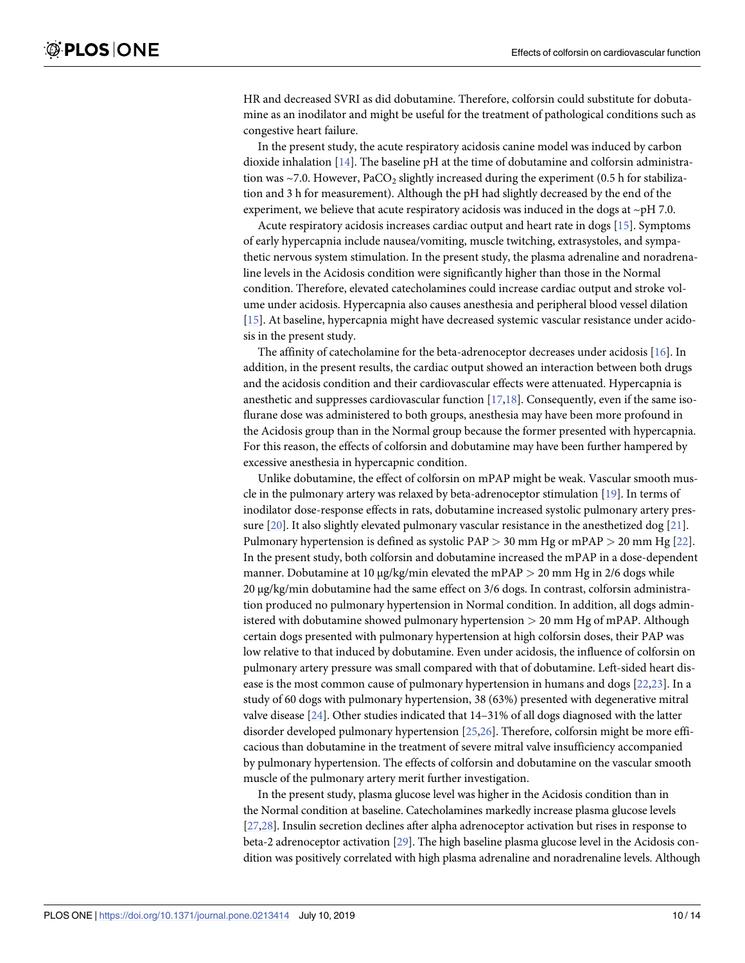<span id="page-9-0"></span>HR and decreased SVRI as did dobutamine. Therefore, colforsin could substitute for dobutamine as an inodilator and might be useful for the treatment of pathological conditions such as congestive heart failure.

In the present study, the acute respiratory acidosis canine model was induced by carbon dioxide inhalation [\[14\]](#page-12-0). The baseline pH at the time of dobutamine and colforsin administration was ~7.0. However,  $PaCO<sub>2</sub>$  slightly increased during the experiment (0.5 h for stabilization and 3 h for measurement). Although the pH had slightly decreased by the end of the experiment, we believe that acute respiratory acidosis was induced in the dogs at  $\sim$ pH 7.0.

Acute respiratory acidosis increases cardiac output and heart rate in dogs [[15](#page-12-0)]. Symptoms of early hypercapnia include nausea/vomiting, muscle twitching, extrasystoles, and sympathetic nervous system stimulation. In the present study, the plasma adrenaline and noradrenaline levels in the Acidosis condition were significantly higher than those in the Normal condition. Therefore, elevated catecholamines could increase cardiac output and stroke volume under acidosis. Hypercapnia also causes anesthesia and peripheral blood vessel dilation [\[15\]](#page-12-0). At baseline, hypercapnia might have decreased systemic vascular resistance under acidosis in the present study.

The affinity of catecholamine for the beta-adrenoceptor decreases under acidosis [[16](#page-12-0)]. In addition, in the present results, the cardiac output showed an interaction between both drugs and the acidosis condition and their cardiovascular effects were attenuated. Hypercapnia is anesthetic and suppresses cardiovascular function [[17](#page-12-0),[18\]](#page-12-0). Consequently, even if the same isoflurane dose was administered to both groups, anesthesia may have been more profound in the Acidosis group than in the Normal group because the former presented with hypercapnia. For this reason, the effects of colforsin and dobutamine may have been further hampered by excessive anesthesia in hypercapnic condition.

Unlike dobutamine, the effect of colforsin on mPAP might be weak. Vascular smooth muscle in the pulmonary artery was relaxed by beta-adrenoceptor stimulation [[19](#page-13-0)]. In terms of inodilator dose-response effects in rats, dobutamine increased systolic pulmonary artery pressure [\[20\]](#page-13-0). It also slightly elevated pulmonary vascular resistance in the anesthetized dog [\[21\]](#page-13-0). Pulmonary hypertension is defined as systolic PAP *>* 30 mm Hg or mPAP *>* 20 mm Hg [\[22\]](#page-13-0). In the present study, both colforsin and dobutamine increased the mPAP in a dose-dependent manner. Dobutamine at 10 μg/kg/min elevated the mPAP *>* 20 mm Hg in 2/6 dogs while 20 μg/kg/min dobutamine had the same effect on 3/6 dogs. In contrast, colforsin administration produced no pulmonary hypertension in Normal condition. In addition, all dogs administered with dobutamine showed pulmonary hypertension *>* 20 mm Hg of mPAP. Although certain dogs presented with pulmonary hypertension at high colforsin doses, their PAP was low relative to that induced by dobutamine. Even under acidosis, the influence of colforsin on pulmonary artery pressure was small compared with that of dobutamine. Left-sided heart disease is the most common cause of pulmonary hypertension in humans and dogs [[22](#page-13-0),[23](#page-13-0)]. In a study of 60 dogs with pulmonary hypertension, 38 (63%) presented with degenerative mitral valve disease [[24](#page-13-0)]. Other studies indicated that 14–31% of all dogs diagnosed with the latter disorder developed pulmonary hypertension [\[25,26](#page-13-0)]. Therefore, colforsin might be more efficacious than dobutamine in the treatment of severe mitral valve insufficiency accompanied by pulmonary hypertension. The effects of colforsin and dobutamine on the vascular smooth muscle of the pulmonary artery merit further investigation.

In the present study, plasma glucose level was higher in the Acidosis condition than in the Normal condition at baseline. Catecholamines markedly increase plasma glucose levels [\[27,28](#page-13-0)]. Insulin secretion declines after alpha adrenoceptor activation but rises in response to beta-2 adrenoceptor activation [\[29\]](#page-13-0). The high baseline plasma glucose level in the Acidosis condition was positively correlated with high plasma adrenaline and noradrenaline levels. Although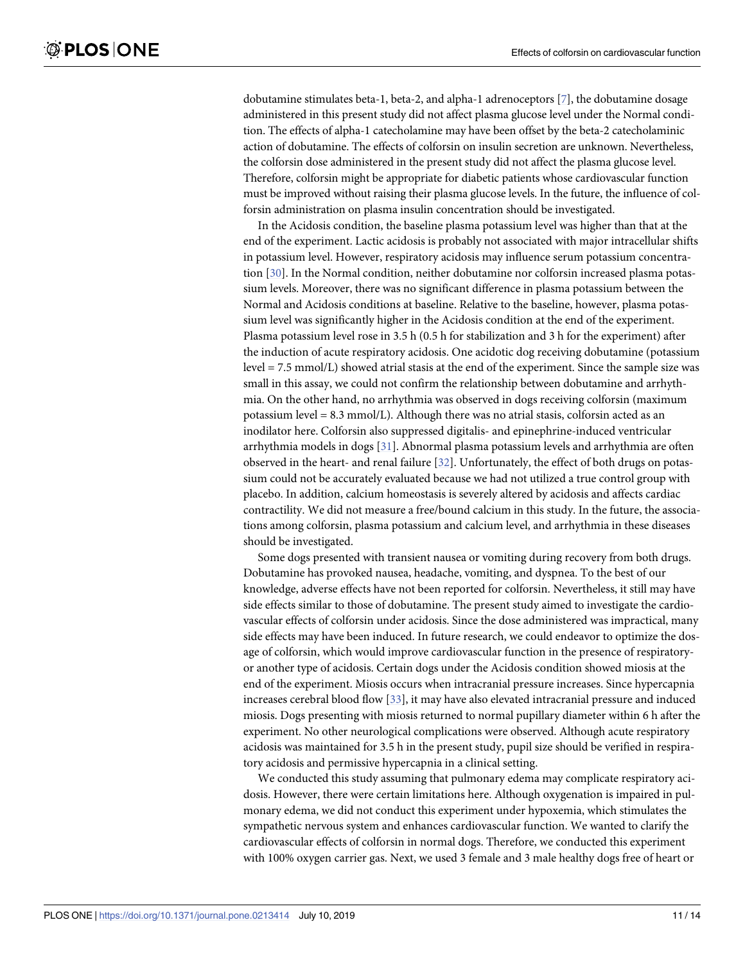<span id="page-10-0"></span>dobutamine stimulates beta-1, beta-2, and alpha-1 adrenoceptors [\[7\]](#page-12-0), the dobutamine dosage administered in this present study did not affect plasma glucose level under the Normal condition. The effects of alpha-1 catecholamine may have been offset by the beta-2 catecholaminic action of dobutamine. The effects of colforsin on insulin secretion are unknown. Nevertheless, the colforsin dose administered in the present study did not affect the plasma glucose level. Therefore, colforsin might be appropriate for diabetic patients whose cardiovascular function must be improved without raising their plasma glucose levels. In the future, the influence of colforsin administration on plasma insulin concentration should be investigated.

In the Acidosis condition, the baseline plasma potassium level was higher than that at the end of the experiment. Lactic acidosis is probably not associated with major intracellular shifts in potassium level. However, respiratory acidosis may influence serum potassium concentration [[30](#page-13-0)]. In the Normal condition, neither dobutamine nor colforsin increased plasma potassium levels. Moreover, there was no significant difference in plasma potassium between the Normal and Acidosis conditions at baseline. Relative to the baseline, however, plasma potassium level was significantly higher in the Acidosis condition at the end of the experiment. Plasma potassium level rose in 3.5 h (0.5 h for stabilization and 3 h for the experiment) after the induction of acute respiratory acidosis. One acidotic dog receiving dobutamine (potassium level = 7.5 mmol/L) showed atrial stasis at the end of the experiment. Since the sample size was small in this assay, we could not confirm the relationship between dobutamine and arrhythmia. On the other hand, no arrhythmia was observed in dogs receiving colforsin (maximum potassium level = 8.3 mmol/L). Although there was no atrial stasis, colforsin acted as an inodilator here. Colforsin also suppressed digitalis- and epinephrine-induced ventricular arrhythmia models in dogs [[31](#page-13-0)]. Abnormal plasma potassium levels and arrhythmia are often observed in the heart- and renal failure [\[32\]](#page-13-0). Unfortunately, the effect of both drugs on potassium could not be accurately evaluated because we had not utilized a true control group with placebo. In addition, calcium homeostasis is severely altered by acidosis and affects cardiac contractility. We did not measure a free/bound calcium in this study. In the future, the associations among colforsin, plasma potassium and calcium level, and arrhythmia in these diseases should be investigated.

Some dogs presented with transient nausea or vomiting during recovery from both drugs. Dobutamine has provoked nausea, headache, vomiting, and dyspnea. To the best of our knowledge, adverse effects have not been reported for colforsin. Nevertheless, it still may have side effects similar to those of dobutamine. The present study aimed to investigate the cardiovascular effects of colforsin under acidosis. Since the dose administered was impractical, many side effects may have been induced. In future research, we could endeavor to optimize the dosage of colforsin, which would improve cardiovascular function in the presence of respiratoryor another type of acidosis. Certain dogs under the Acidosis condition showed miosis at the end of the experiment. Miosis occurs when intracranial pressure increases. Since hypercapnia increases cerebral blood flow [[33](#page-13-0)], it may have also elevated intracranial pressure and induced miosis. Dogs presenting with miosis returned to normal pupillary diameter within 6 h after the experiment. No other neurological complications were observed. Although acute respiratory acidosis was maintained for 3.5 h in the present study, pupil size should be verified in respiratory acidosis and permissive hypercapnia in a clinical setting.

We conducted this study assuming that pulmonary edema may complicate respiratory acidosis. However, there were certain limitations here. Although oxygenation is impaired in pulmonary edema, we did not conduct this experiment under hypoxemia, which stimulates the sympathetic nervous system and enhances cardiovascular function. We wanted to clarify the cardiovascular effects of colforsin in normal dogs. Therefore, we conducted this experiment with 100% oxygen carrier gas. Next, we used 3 female and 3 male healthy dogs free of heart or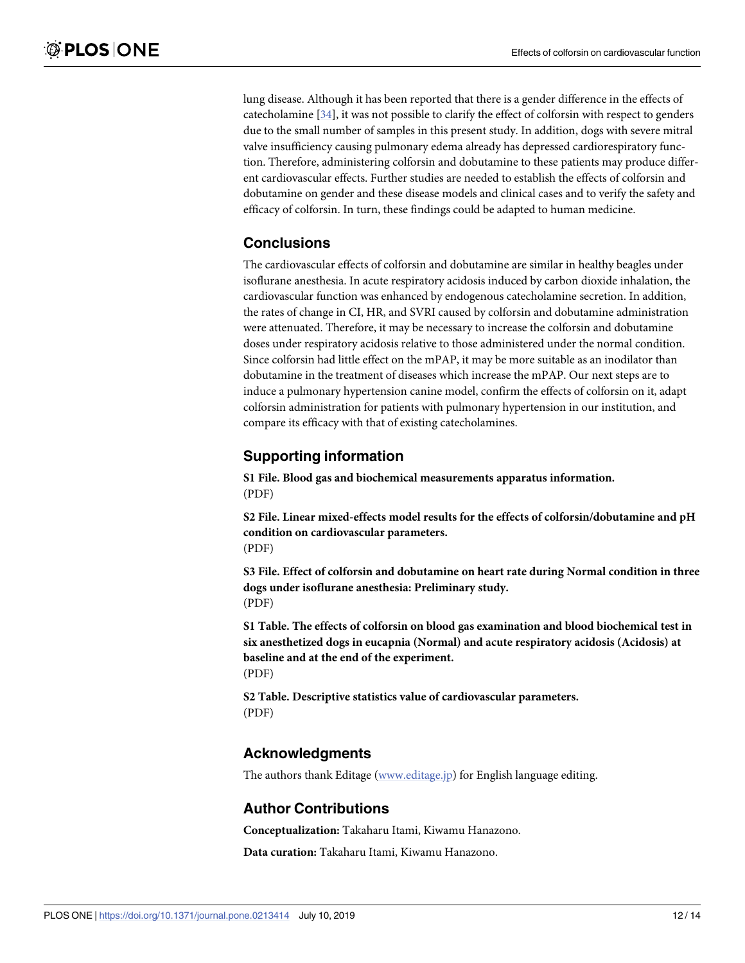<span id="page-11-0"></span>lung disease. Although it has been reported that there is a gender difference in the effects of catecholamine [\[34\]](#page-13-0), it was not possible to clarify the effect of colforsin with respect to genders due to the small number of samples in this present study. In addition, dogs with severe mitral valve insufficiency causing pulmonary edema already has depressed cardiorespiratory function. Therefore, administering colforsin and dobutamine to these patients may produce different cardiovascular effects. Further studies are needed to establish the effects of colforsin and dobutamine on gender and these disease models and clinical cases and to verify the safety and efficacy of colforsin. In turn, these findings could be adapted to human medicine.

## **Conclusions**

The cardiovascular effects of colforsin and dobutamine are similar in healthy beagles under isoflurane anesthesia. In acute respiratory acidosis induced by carbon dioxide inhalation, the cardiovascular function was enhanced by endogenous catecholamine secretion. In addition, the rates of change in CI, HR, and SVRI caused by colforsin and dobutamine administration were attenuated. Therefore, it may be necessary to increase the colforsin and dobutamine doses under respiratory acidosis relative to those administered under the normal condition. Since colforsin had little effect on the mPAP, it may be more suitable as an inodilator than dobutamine in the treatment of diseases which increase the mPAP. Our next steps are to induce a pulmonary hypertension canine model, confirm the effects of colforsin on it, adapt colforsin administration for patients with pulmonary hypertension in our institution, and compare its efficacy with that of existing catecholamines.

## **Supporting information**

**S1 [File.](http://www.plosone.org/article/fetchSingleRepresentation.action?uri=info:doi/10.1371/journal.pone.0213414.s001) Blood gas and biochemical measurements apparatus information.** (PDF)

**S2 [File.](http://www.plosone.org/article/fetchSingleRepresentation.action?uri=info:doi/10.1371/journal.pone.0213414.s002) Linear mixed-effects model results for the effects of colforsin/dobutamine and pH condition on cardiovascular parameters.** (PDF)

**S3 [File.](http://www.plosone.org/article/fetchSingleRepresentation.action?uri=info:doi/10.1371/journal.pone.0213414.s003) Effect of colforsin and dobutamine on heart rate during Normal condition in three dogs under isoflurane anesthesia: Preliminary study.** (PDF)

**S1 [Table.](http://www.plosone.org/article/fetchSingleRepresentation.action?uri=info:doi/10.1371/journal.pone.0213414.s004) The effects of colforsin on blood gas examination and blood biochemical test in six anesthetized dogs in eucapnia (Normal) and acute respiratory acidosis (Acidosis) at baseline and at the end of the experiment.** (PDF)

**S2 [Table.](http://www.plosone.org/article/fetchSingleRepresentation.action?uri=info:doi/10.1371/journal.pone.0213414.s005) Descriptive statistics value of cardiovascular parameters.** (PDF)

## **Acknowledgments**

The authors thank Editage [\(www.editage.jp](http://www.editage.jp)) for English language editing.

#### **Author Contributions**

**Conceptualization:** Takaharu Itami, Kiwamu Hanazono.

**Data curation:** Takaharu Itami, Kiwamu Hanazono.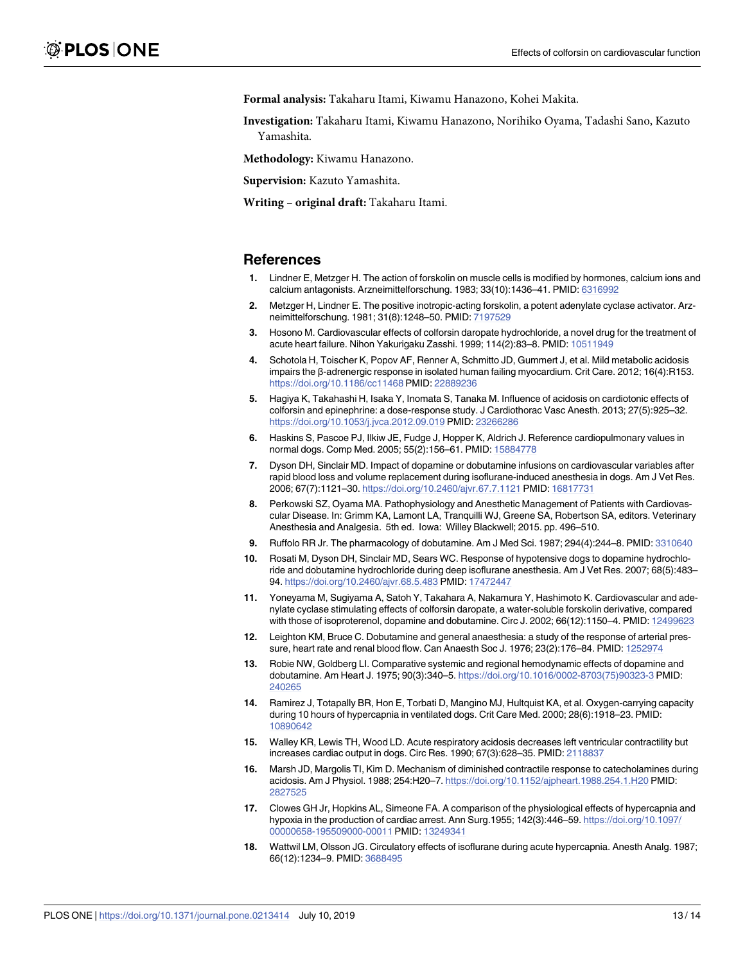<span id="page-12-0"></span>**Formal analysis:** Takaharu Itami, Kiwamu Hanazono, Kohei Makita.

**Investigation:** Takaharu Itami, Kiwamu Hanazono, Norihiko Oyama, Tadashi Sano, Kazuto Yamashita.

**Methodology:** Kiwamu Hanazono.

**Supervision:** Kazuto Yamashita.

**Writing – original draft:** Takaharu Itami.

#### **References**

- **[1](#page-1-0).** Lindner E, Metzger H. The action of forskolin on muscle cells is modified by hormones, calcium ions and calcium antagonists. Arzneimittelforschung. 1983; 33(10):1436–41. PMID: [6316992](http://www.ncbi.nlm.nih.gov/pubmed/6316992)
- **[2](#page-1-0).** Metzger H, Lindner E. The positive inotropic-acting forskolin, a potent adenylate cyclase activator. Arzneimittelforschung. 1981; 31(8):1248–50. PMID: [7197529](http://www.ncbi.nlm.nih.gov/pubmed/7197529)
- **[3](#page-1-0).** Hosono M. Cardiovascular effects of colforsin daropate hydrochloride, a novel drug for the treatment of acute heart failure. Nihon Yakurigaku Zasshi. 1999; 114(2):83–8. PMID: [10511949](http://www.ncbi.nlm.nih.gov/pubmed/10511949)
- **[4](#page-1-0).** Schotola H, Toischer K, Popov AF, Renner A, Schmitto JD, Gummert J, et al. Mild metabolic acidosis impairs the β-adrenergic response in isolated human failing myocardium. Crit Care. 2012; 16(4):R153. <https://doi.org/10.1186/cc11468> PMID: [22889236](http://www.ncbi.nlm.nih.gov/pubmed/22889236)
- **[5](#page-1-0).** Hagiya K, Takahashi H, Isaka Y, Inomata S, Tanaka M. Influence of acidosis on cardiotonic effects of colforsin and epinephrine: a dose-response study. J Cardiothorac Vasc Anesth. 2013; 27(5):925–32. <https://doi.org/10.1053/j.jvca.2012.09.019> PMID: [23266286](http://www.ncbi.nlm.nih.gov/pubmed/23266286)
- **[6](#page-2-0).** Haskins S, Pascoe PJ, Ilkiw JE, Fudge J, Hopper K, Aldrich J. Reference cardiopulmonary values in normal dogs. Comp Med. 2005; 55(2):156–61. PMID: [15884778](http://www.ncbi.nlm.nih.gov/pubmed/15884778)
- **[7](#page-7-0).** Dyson DH, Sinclair MD. Impact of dopamine or dobutamine infusions on cardiovascular variables after rapid blood loss and volume replacement during isoflurane-induced anesthesia in dogs. Am J Vet Res. 2006; 67(7):1121–30. <https://doi.org/10.2460/ajvr.67.7.1121> PMID: [16817731](http://www.ncbi.nlm.nih.gov/pubmed/16817731)
- **[8](#page-7-0).** Perkowski SZ, Oyama MA. Pathophysiology and Anesthetic Management of Patients with Cardiovascular Disease. In: Grimm KA, Lamont LA, Tranquilli WJ, Greene SA, Robertson SA, editors. Veterinary Anesthesia and Analgesia. 5th ed. Iowa: Willey Blackwell; 2015. pp. 496–510.
- **[9](#page-7-0).** Ruffolo RR Jr. The pharmacology of dobutamine. Am J Med Sci. 1987; 294(4):244–8. PMID: [3310640](http://www.ncbi.nlm.nih.gov/pubmed/3310640)
- **[10](#page-7-0).** Rosati M, Dyson DH, Sinclair MD, Sears WC. Response of hypotensive dogs to dopamine hydrochloride and dobutamine hydrochloride during deep isoflurane anesthesia. Am J Vet Res. 2007; 68(5):483– 94. <https://doi.org/10.2460/ajvr.68.5.483> PMID: [17472447](http://www.ncbi.nlm.nih.gov/pubmed/17472447)
- **[11](#page-8-0).** Yoneyama M, Sugiyama A, Satoh Y, Takahara A, Nakamura Y, Hashimoto K. Cardiovascular and adenylate cyclase stimulating effects of colforsin daropate, a water-soluble forskolin derivative, compared with those of isoproterenol, dopamine and dobutamine. Circ J. 2002; 66(12):1150–4. PMID: [12499623](http://www.ncbi.nlm.nih.gov/pubmed/12499623)
- **[12](#page-8-0).** Leighton KM, Bruce C. Dobutamine and general anaesthesia: a study of the response of arterial pressure, heart rate and renal blood flow. Can Anaesth Soc J. 1976; 23(2):176–84. PMID: [1252974](http://www.ncbi.nlm.nih.gov/pubmed/1252974)
- **[13](#page-8-0).** Robie NW, Goldberg LI. Comparative systemic and regional hemodynamic effects of dopamine and dobutamine. Am Heart J. 1975; 90(3):340–5. [https://doi.org/10.1016/0002-8703\(75\)90323-3](https://doi.org/10.1016/0002-8703(75)90323-3) PMID: [240265](http://www.ncbi.nlm.nih.gov/pubmed/240265)
- **[14](#page-9-0).** Ramirez J, Totapally BR, Hon E, Torbati D, Mangino MJ, Hultquist KA, et al. Oxygen-carrying capacity during 10 hours of hypercapnia in ventilated dogs. Crit Care Med. 2000; 28(6):1918–23. PMID: [10890642](http://www.ncbi.nlm.nih.gov/pubmed/10890642)
- **[15](#page-9-0).** Walley KR, Lewis TH, Wood LD. Acute respiratory acidosis decreases left ventricular contractility but increases cardiac output in dogs. Circ Res. 1990; 67(3):628–35. PMID: [2118837](http://www.ncbi.nlm.nih.gov/pubmed/2118837)
- **[16](#page-9-0).** Marsh JD, Margolis TI, Kim D. Mechanism of diminished contractile response to catecholamines during acidosis. Am J Physiol. 1988; 254:H20–7. <https://doi.org/10.1152/ajpheart.1988.254.1.H20> PMID: [2827525](http://www.ncbi.nlm.nih.gov/pubmed/2827525)
- **[17](#page-9-0).** Clowes GH Jr, Hopkins AL, Simeone FA. A comparison of the physiological effects of hypercapnia and hypoxia in the production of cardiac arrest. Ann Surg.1955; 142(3):446–59. [https://doi.org/10.1097/](https://doi.org/10.1097/00000658-195509000-00011) [00000658-195509000-00011](https://doi.org/10.1097/00000658-195509000-00011) PMID: [13249341](http://www.ncbi.nlm.nih.gov/pubmed/13249341)
- **[18](#page-9-0).** Wattwil LM, Olsson JG. Circulatory effects of isoflurane during acute hypercapnia. Anesth Analg. 1987; 66(12):1234–9. PMID: [3688495](http://www.ncbi.nlm.nih.gov/pubmed/3688495)